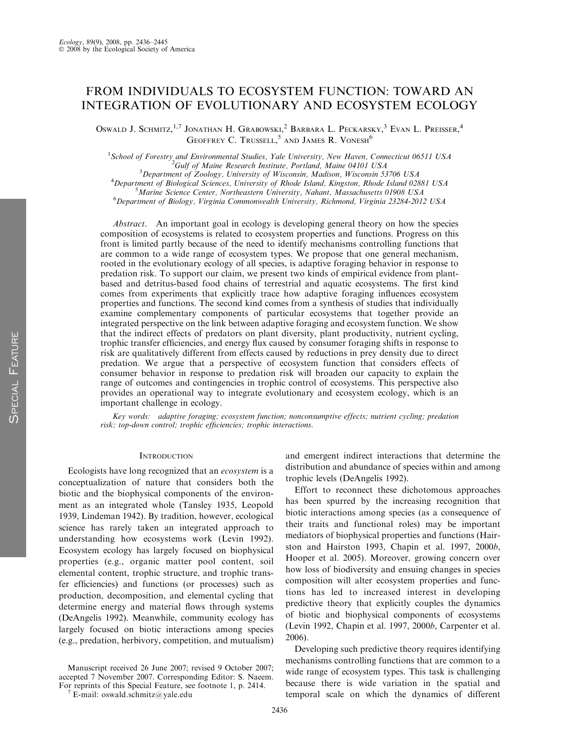# FROM INDIVIDUALS TO ECOSYSTEM FUNCTION: TOWARD AN INTEGRATION OF EVOLUTIONARY AND ECOSYSTEM ECOLOGY

OSWALD J. SCHMITZ,<sup>1,7</sup> JONATHAN H. GRABOWSKI,<sup>2</sup> BARBARA L. PECKARSKY,<sup>3</sup> EVAN L. PREISSER,<sup>4</sup> GEOFFREY C. TRUSSELL,  $^5$  and James R. Vonesh $^6$ 

<sup>1</sup> School of Forestry and Environmental Studies, Yale University, New Haven, Connecticut 06511 USA<br><sup>2</sup>Culf of Maine Besearch Institute, Portland, Maine 04101 USA  $^{2}$ Gulf of Maine Research Institute, Portland, Maine 04101 USA<br><sup>3</sup> Department of Zoology, University of Wisconsin, Madison, Wisconsin, 53

<sup>5</sup> Department of Zoology, University of Wisconsin, Madison, Wisconsin 53706 USA<br><sup>4</sup> Department of Biological Sciences, University of Phodo Island, Kingsten, Phodo Island 023

<sup>4</sup>Department of Biological Sciences, University of Rhode Island, Kingston, Rhode Island 02881 USA  $<sup>5</sup>$ Marine Science Center, Northeastern University, Nahant, Massachusetts 01908 USA</sup>

Department of Biology, Virginia Commonwealth University, Richmond, Virginia 23284-2012 USA

Abstract. An important goal in ecology is developing general theory on how the species composition of ecosystems is related to ecosystem properties and functions. Progress on this front is limited partly because of the need to identify mechanisms controlling functions that are common to a wide range of ecosystem types. We propose that one general mechanism, rooted in the evolutionary ecology of all species, is adaptive foraging behavior in response to predation risk. To support our claim, we present two kinds of empirical evidence from plantbased and detritus-based food chains of terrestrial and aquatic ecosystems. The first kind comes from experiments that explicitly trace how adaptive foraging influences ecosystem properties and functions. The second kind comes from a synthesis of studies that individually examine complementary components of particular ecosystems that together provide an integrated perspective on the link between adaptive foraging and ecosystem function. We show that the indirect effects of predators on plant diversity, plant productivity, nutrient cycling, trophic transfer efficiencies, and energy flux caused by consumer foraging shifts in response to risk are qualitatively different from effects caused by reductions in prey density due to direct predation. We argue that a perspective of ecosystem function that considers effects of consumer behavior in response to predation risk will broaden our capacity to explain the range of outcomes and contingencies in trophic control of ecosystems. This perspective also provides an operational way to integrate evolutionary and ecosystem ecology, which is an important challenge in ecology.

Key words: adaptive foraging; ecosystem function; nonconsumptive effects; nutrient cycling; predation risk; top-down control; trophic efficiencies; trophic interactions.

### **INTRODUCTION**

Ecologists have long recognized that an ecosystem is a conceptualization of nature that considers both the biotic and the biophysical components of the environment as an integrated whole (Tansley 1935, Leopold 1939, Lindeman 1942). By tradition, however, ecological science has rarely taken an integrated approach to understanding how ecosystems work (Levin 1992). Ecosystem ecology has largely focused on biophysical properties (e.g., organic matter pool content, soil elemental content, trophic structure, and trophic transfer efficiencies) and functions (or processes) such as production, decomposition, and elemental cycling that determine energy and material flows through systems (DeAngelis 1992). Meanwhile, community ecology has largely focused on biotic interactions among species (e.g., predation, herbivory, competition, and mutualism)

Manuscript received 26 June 2007; revised 9 October 2007; accepted 7 November 2007. Corresponding Editor: S. Naeem. For reprints of this Special Feature, see footnote 1, p. 2414.<br> $\frac{7}{5}$  E-mail: oswald.schmitz@yale.edu

and emergent indirect interactions that determine the distribution and abundance of species within and among trophic levels (DeAngelis 1992).

Effort to reconnect these dichotomous approaches has been spurred by the increasing recognition that biotic interactions among species (as a consequence of their traits and functional roles) may be important mediators of biophysical properties and functions (Hairston and Hairston 1993, Chapin et al. 1997, 2000b, Hooper et al. 2005). Moreover, growing concern over how loss of biodiversity and ensuing changes in species composition will alter ecosystem properties and functions has led to increased interest in developing predictive theory that explicitly couples the dynamics of biotic and biophysical components of ecosystems (Levin 1992, Chapin et al. 1997, 2000b, Carpenter et al. 2006).

Developing such predictive theory requires identifying mechanisms controlling functions that are common to a wide range of ecosystem types. This task is challenging because there is wide variation in the spatial and temporal scale on which the dynamics of different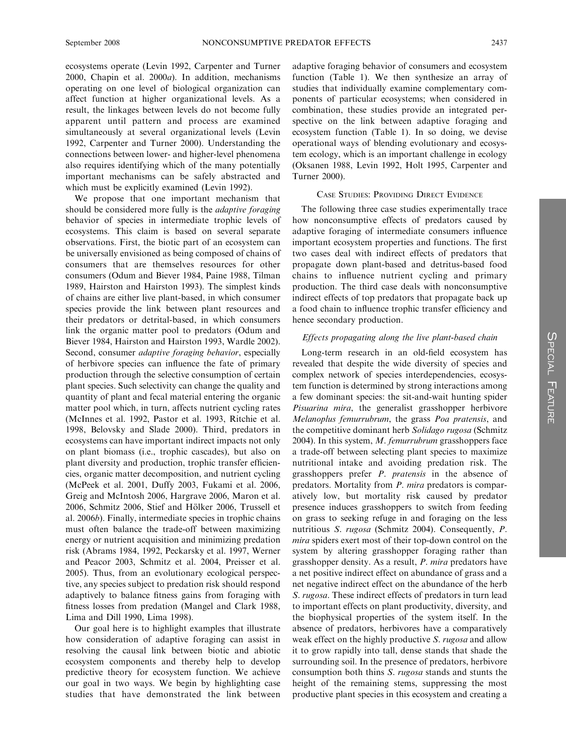ecosystems operate (Levin 1992, Carpenter and Turner 2000, Chapin et al. 2000a). In addition, mechanisms operating on one level of biological organization can affect function at higher organizational levels. As a result, the linkages between levels do not become fully apparent until pattern and process are examined simultaneously at several organizational levels (Levin 1992, Carpenter and Turner 2000). Understanding the connections between lower- and higher-level phenomena also requires identifying which of the many potentially important mechanisms can be safely abstracted and which must be explicitly examined (Levin 1992).

We propose that one important mechanism that should be considered more fully is the adaptive foraging behavior of species in intermediate trophic levels of ecosystems. This claim is based on several separate observations. First, the biotic part of an ecosystem can be universally envisioned as being composed of chains of consumers that are themselves resources for other consumers (Odum and Biever 1984, Paine 1988, Tilman 1989, Hairston and Hairston 1993). The simplest kinds of chains are either live plant-based, in which consumer species provide the link between plant resources and their predators or detrital-based, in which consumers link the organic matter pool to predators (Odum and Biever 1984, Hairston and Hairston 1993, Wardle 2002). Second, consumer *adaptive foraging behavior*, especially of herbivore species can influence the fate of primary production through the selective consumption of certain plant species. Such selectivity can change the quality and quantity of plant and fecal material entering the organic matter pool which, in turn, affects nutrient cycling rates (McInnes et al. 1992, Pastor et al. 1993, Ritchie et al. 1998, Belovsky and Slade 2000). Third, predators in ecosystems can have important indirect impacts not only on plant biomass (i.e., trophic cascades), but also on plant diversity and production, trophic transfer efficiencies, organic matter decomposition, and nutrient cycling (McPeek et al. 2001, Duffy 2003, Fukami et al. 2006, Greig and McIntosh 2006, Hargrave 2006, Maron et al. 2006, Schmitz 2006, Stief and Hölker 2006, Trussell et al. 2006b). Finally, intermediate species in trophic chains must often balance the trade-off between maximizing energy or nutrient acquisition and minimizing predation risk (Abrams 1984, 1992, Peckarsky et al. 1997, Werner and Peacor 2003, Schmitz et al. 2004, Preisser et al. 2005). Thus, from an evolutionary ecological perspective, any species subject to predation risk should respond adaptively to balance fitness gains from foraging with fitness losses from predation (Mangel and Clark 1988, Lima and Dill 1990, Lima 1998).

Our goal here is to highlight examples that illustrate how consideration of adaptive foraging can assist in resolving the causal link between biotic and abiotic ecosystem components and thereby help to develop predictive theory for ecosystem function. We achieve our goal in two ways. We begin by highlighting case studies that have demonstrated the link between

adaptive foraging behavior of consumers and ecosystem function (Table 1). We then synthesize an array of studies that individually examine complementary components of particular ecosystems; when considered in combination, these studies provide an integrated perspective on the link between adaptive foraging and ecosystem function (Table 1). In so doing, we devise operational ways of blending evolutionary and ecosystem ecology, which is an important challenge in ecology (Oksanen 1988, Levin 1992, Holt 1995, Carpenter and Turner 2000).

### CASE STUDIES: PROVIDING DIRECT EVIDENCE

The following three case studies experimentally trace how nonconsumptive effects of predators caused by adaptive foraging of intermediate consumers influence important ecosystem properties and functions. The first two cases deal with indirect effects of predators that propagate down plant-based and detritus-based food chains to influence nutrient cycling and primary production. The third case deals with nonconsumptive indirect effects of top predators that propagate back up a food chain to influence trophic transfer efficiency and hence secondary production.

### Effects propagating along the live plant-based chain

Long-term research in an old-field ecosystem has revealed that despite the wide diversity of species and complex network of species interdependencies, ecosystem function is determined by strong interactions among a few dominant species: the sit-and-wait hunting spider Pisuarina mira, the generalist grasshopper herbivore Melanoplus femurrubrum, the grass Poa pratensis, and the competitive dominant herb Solidago rugosa (Schmitz 2004). In this system,  $M$ . femurrubrum grasshoppers face a trade-off between selecting plant species to maximize nutritional intake and avoiding predation risk. The grasshoppers prefer P. pratensis in the absence of predators. Mortality from P. mira predators is comparatively low, but mortality risk caused by predator presence induces grasshoppers to switch from feeding on grass to seeking refuge in and foraging on the less nutritious S. rugosa (Schmitz 2004). Consequently, P. mira spiders exert most of their top-down control on the system by altering grasshopper foraging rather than grasshopper density. As a result, P. mira predators have a net positive indirect effect on abundance of grass and a net negative indirect effect on the abundance of the herb S. rugosa. These indirect effects of predators in turn lead to important effects on plant productivity, diversity, and the biophysical properties of the system itself. In the absence of predators, herbivores have a comparatively weak effect on the highly productive *S. rugosa* and allow it to grow rapidly into tall, dense stands that shade the surrounding soil. In the presence of predators, herbivore consumption both thins S. rugosa stands and stunts the height of the remaining stems, suppressing the most productive plant species in this ecosystem and creating a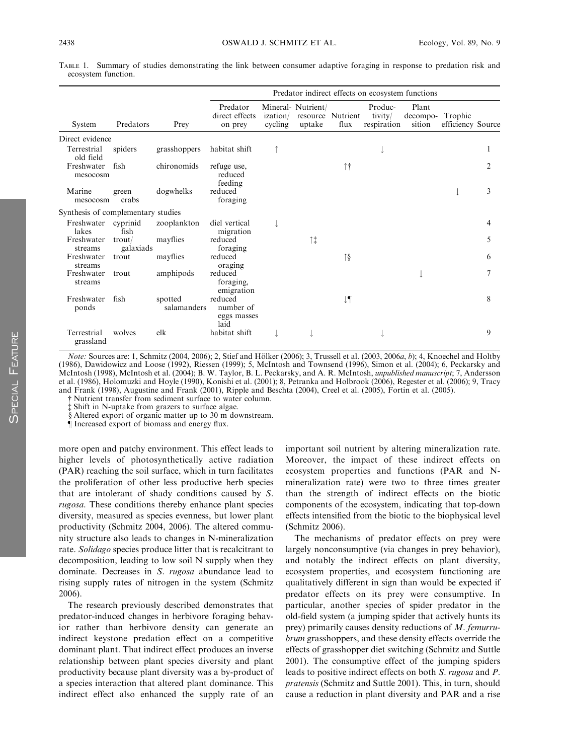TABLE 1. Summary of studies demonstrating the link between consumer adaptive foraging in response to predation risk and ecosystem function.

|                                    |                     |                        | Predator indirect effects on ecosystem functions |                             |                                                   |              |                                   |                             |                              |   |
|------------------------------------|---------------------|------------------------|--------------------------------------------------|-----------------------------|---------------------------------------------------|--------------|-----------------------------------|-----------------------------|------------------------------|---|
| System                             | Predators           | Prey                   | Predator<br>direct effects<br>on prey            | <i>ization</i> /<br>cycling | Mineral- Nutrient/<br>resource Nutrient<br>uptake | flux         | Produc-<br>tivity/<br>respiration | Plant<br>decompo-<br>sition | Trophic<br>efficiency Source |   |
| Direct evidence                    |                     |                        |                                                  |                             |                                                   |              |                                   |                             |                              |   |
| Terrestrial<br>old field           | spiders             | grasshoppers           | habitat shift                                    |                             |                                                   |              |                                   |                             |                              |   |
| Freshwater<br>mesocosm             | fish                | chironomids            | refuge use,<br>reduced<br>feeding                |                             |                                                   | ↑↑           |                                   |                             |                              | 2 |
| Marine<br>mesocosm                 | green<br>crabs      | dogwhelks              | reduced<br>foraging                              |                             |                                                   |              |                                   |                             |                              | 3 |
| Synthesis of complementary studies |                     |                        |                                                  |                             |                                                   |              |                                   |                             |                              |   |
| Freshwater cyprinid<br>lakes       | fish                | zooplankton            | diel vertical<br>migration                       |                             |                                                   |              |                                   |                             |                              | 4 |
| Freshwater<br>streams              | trout/<br>galaxiads | mayflies               | reduced<br>foraging                              |                             | ↑‡                                                |              |                                   |                             |                              | 5 |
| Freshwater<br>streams              | trout               | mayflies               | reduced<br>oraging                               |                             |                                                   | $\uparrow$ § |                                   |                             |                              | 6 |
| Freshwater<br>streams              | trout               | amphipods              | reduced<br>foraging,<br>emigration               |                             |                                                   |              |                                   |                             |                              |   |
| Freshwater<br>ponds                | fish                | spotted<br>salamanders | reduced<br>number of<br>eggs masses<br>laid      |                             |                                                   | Ţ            |                                   |                             |                              | 8 |
| Terrestrial<br>grassland           | wolves              | elk                    | habitat shift                                    |                             |                                                   |              |                                   |                             |                              | 9 |

Note: Sources are: 1, Schmitz (2004, 2006); 2, Stief and Hölker (2006); 3, Trussell et al. (2003, 2006a, b); 4, Knoechel and Holtby (1986), Dawidowicz and Loose (1992), Riessen (1999); 5, McIntosh and Townsend (1996), Simon et al. (2004); 6, Peckarsky and McIntosh (1998), McIntosh et al. (2004); B. W. Taylor, B. L. Peckarsky, and A. R. McIntosh, unpublished manuscript; 7, Andersson et al. (1986), Holomuzki and Hoyle (1990), Konishi et al. (2001); 8, Petranka and Holbrook (2006), Regester et al. (2006); 9, Tracy and Frank (1998), Augustine and Frank (2001), Ripple and Beschta (2004), Creel et al. (2005), Fortin et al. (2005).

 $\dagger$ Nutrient transfer from sediment surface to water column.

Shift in N-uptake from grazers to surface algae.

§ Altered export of organic matter up to 30 m downstream.

} Increased export of biomass and energy flux.

more open and patchy environment. This effect leads to higher levels of photosynthetically active radiation (PAR) reaching the soil surface, which in turn facilitates the proliferation of other less productive herb species that are intolerant of shady conditions caused by S. rugosa. These conditions thereby enhance plant species diversity, measured as species evenness, but lower plant productivity (Schmitz 2004, 2006). The altered community structure also leads to changes in N-mineralization rate. Solidago species produce litter that is recalcitrant to decomposition, leading to low soil N supply when they dominate. Decreases in S. rugosa abundance lead to rising supply rates of nitrogen in the system (Schmitz 2006).

The research previously described demonstrates that predator-induced changes in herbivore foraging behavior rather than herbivore density can generate an indirect keystone predation effect on a competitive dominant plant. That indirect effect produces an inverse relationship between plant species diversity and plant productivity because plant diversity was a by-product of a species interaction that altered plant dominance. This indirect effect also enhanced the supply rate of an important soil nutrient by altering mineralization rate. Moreover, the impact of these indirect effects on ecosystem properties and functions (PAR and Nmineralization rate) were two to three times greater than the strength of indirect effects on the biotic components of the ecosystem, indicating that top-down effects intensified from the biotic to the biophysical level (Schmitz 2006).

The mechanisms of predator effects on prey were largely nonconsumptive (via changes in prey behavior), and notably the indirect effects on plant diversity, ecosystem properties, and ecosystem functioning are qualitatively different in sign than would be expected if predator effects on its prey were consumptive. In particular, another species of spider predator in the old-field system (a jumping spider that actively hunts its prey) primarily causes density reductions of M. femurrubrum grasshoppers, and these density effects override the effects of grasshopper diet switching (Schmitz and Suttle 2001). The consumptive effect of the jumping spiders leads to positive indirect effects on both S. rugosa and P. pratensis (Schmitz and Suttle 2001). This, in turn, should cause a reduction in plant diversity and PAR and a rise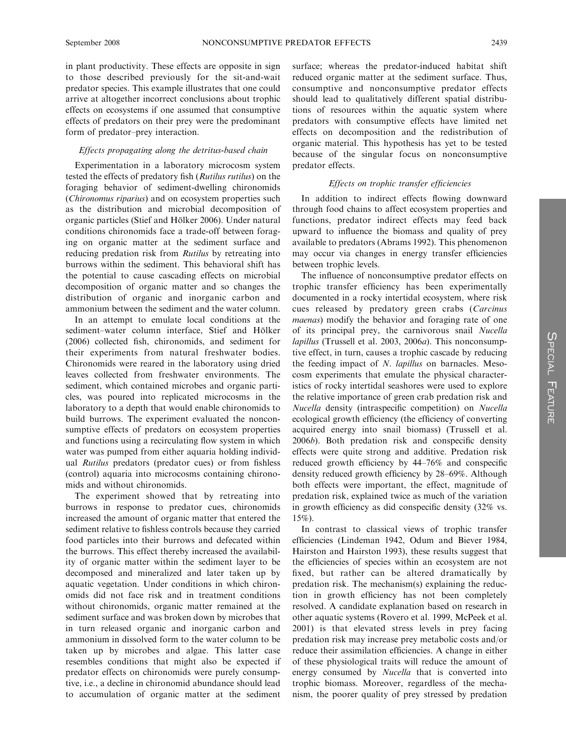in plant productivity. These effects are opposite in sign to those described previously for the sit-and-wait predator species. This example illustrates that one could arrive at altogether incorrect conclusions about trophic effects on ecosystems if one assumed that consumptive effects of predators on their prey were the predominant form of predator–prey interaction.

## Effects propagating along the detritus-based chain

Experimentation in a laboratory microcosm system tested the effects of predatory fish (Rutilus rutilus) on the foraging behavior of sediment-dwelling chironomids (Chironomus riparius) and on ecosystem properties such as the distribution and microbial decomposition of organic particles (Stief and Hölker 2006). Under natural conditions chironomids face a trade-off between foraging on organic matter at the sediment surface and reducing predation risk from Rutilus by retreating into burrows within the sediment. This behavioral shift has the potential to cause cascading effects on microbial decomposition of organic matter and so changes the distribution of organic and inorganic carbon and ammonium between the sediment and the water column.

In an attempt to emulate local conditions at the sediment–water column interface, Stief and Hölker (2006) collected fish, chironomids, and sediment for their experiments from natural freshwater bodies. Chironomids were reared in the laboratory using dried leaves collected from freshwater environments. The sediment, which contained microbes and organic particles, was poured into replicated microcosms in the laboratory to a depth that would enable chironomids to build burrows. The experiment evaluated the nonconsumptive effects of predators on ecosystem properties and functions using a recirculating flow system in which water was pumped from either aquaria holding individual Rutilus predators (predator cues) or from fishless (control) aquaria into microcosms containing chironomids and without chironomids.

The experiment showed that by retreating into burrows in response to predator cues, chironomids increased the amount of organic matter that entered the sediment relative to fishless controls because they carried food particles into their burrows and defecated within the burrows. This effect thereby increased the availability of organic matter within the sediment layer to be decomposed and mineralized and later taken up by aquatic vegetation. Under conditions in which chironomids did not face risk and in treatment conditions without chironomids, organic matter remained at the sediment surface and was broken down by microbes that in turn released organic and inorganic carbon and ammonium in dissolved form to the water column to be taken up by microbes and algae. This latter case resembles conditions that might also be expected if predator effects on chironomids were purely consumptive, i.e., a decline in chironomid abundance should lead to accumulation of organic matter at the sediment surface; whereas the predator-induced habitat shift reduced organic matter at the sediment surface. Thus, consumptive and nonconsumptive predator effects should lead to qualitatively different spatial distributions of resources within the aquatic system where predators with consumptive effects have limited net effects on decomposition and the redistribution of organic material. This hypothesis has yet to be tested because of the singular focus on nonconsumptive predator effects.

### Effects on trophic transfer efficiencies

In addition to indirect effects flowing downward through food chains to affect ecosystem properties and functions, predator indirect effects may feed back upward to influence the biomass and quality of prey available to predators (Abrams 1992). This phenomenon may occur via changes in energy transfer efficiencies between trophic levels.

The influence of nonconsumptive predator effects on trophic transfer efficiency has been experimentally documented in a rocky intertidal ecosystem, where risk cues released by predatory green crabs (Carcinus maenas) modify the behavior and foraging rate of one of its principal prey, the carnivorous snail Nucella lapillus (Trussell et al. 2003, 2006a). This nonconsumptive effect, in turn, causes a trophic cascade by reducing the feeding impact of N. lapillus on barnacles. Mesocosm experiments that emulate the physical characteristics of rocky intertidal seashores were used to explore the relative importance of green crab predation risk and Nucella density (intraspecific competition) on Nucella ecological growth efficiency (the efficiency of converting acquired energy into snail biomass) (Trussell et al. 2006b). Both predation risk and conspecific density effects were quite strong and additive. Predation risk reduced growth efficiency by 44–76% and conspecific density reduced growth efficiency by 28–69%. Although both effects were important, the effect, magnitude of predation risk, explained twice as much of the variation in growth efficiency as did conspecific density (32% vs. 15%).

In contrast to classical views of trophic transfer efficiencies (Lindeman 1942, Odum and Biever 1984, Hairston and Hairston 1993), these results suggest that the efficiencies of species within an ecosystem are not fixed, but rather can be altered dramatically by predation risk. The mechanism(s) explaining the reduction in growth efficiency has not been completely resolved. A candidate explanation based on research in other aquatic systems (Rovero et al. 1999, McPeek et al. 2001) is that elevated stress levels in prey facing predation risk may increase prey metabolic costs and/or reduce their assimilation efficiencies. A change in either of these physiological traits will reduce the amount of energy consumed by Nucella that is converted into trophic biomass. Moreover, regardless of the mechanism, the poorer quality of prey stressed by predation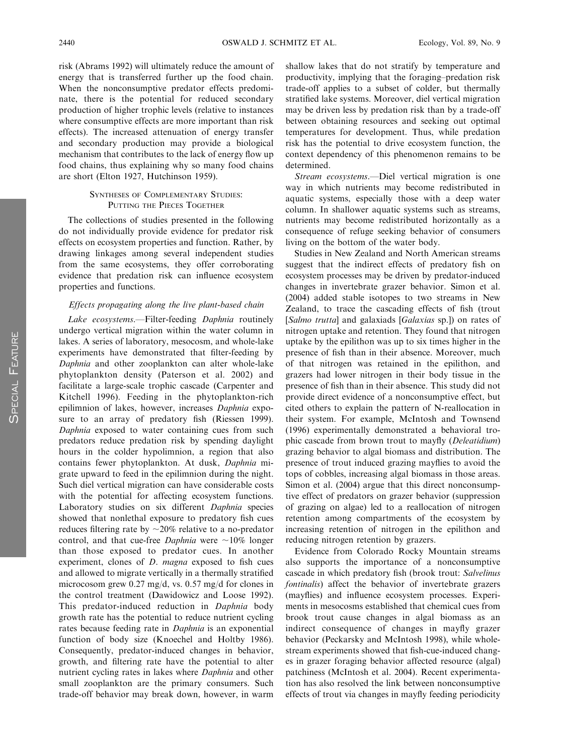risk (Abrams 1992) will ultimately reduce the amount of energy that is transferred further up the food chain. When the nonconsumptive predator effects predominate, there is the potential for reduced secondary production of higher trophic levels (relative to instances where consumptive effects are more important than risk effects). The increased attenuation of energy transfer and secondary production may provide a biological mechanism that contributes to the lack of energy flow up food chains, thus explaining why so many food chains are short (Elton 1927, Hutchinson 1959).

# SYNTHESES OF COMPLEMENTARY STUDIES: PUTTING THE PIECES TOGETHER

The collections of studies presented in the following do not individually provide evidence for predator risk effects on ecosystem properties and function. Rather, by drawing linkages among several independent studies from the same ecosystems, they offer corroborating evidence that predation risk can influence ecosystem properties and functions.

# Effects propagating along the live plant-based chain

Lake ecosystems.-Filter-feeding Daphnia routinely undergo vertical migration within the water column in lakes. A series of laboratory, mesocosm, and whole-lake experiments have demonstrated that filter-feeding by Daphnia and other zooplankton can alter whole-lake phytoplankton density (Paterson et al. 2002) and facilitate a large-scale trophic cascade (Carpenter and Kitchell 1996). Feeding in the phytoplankton-rich epilimnion of lakes, however, increases Daphnia exposure to an array of predatory fish (Riessen 1999). Daphnia exposed to water containing cues from such predators reduce predation risk by spending daylight hours in the colder hypolimnion, a region that also contains fewer phytoplankton. At dusk, Daphnia migrate upward to feed in the epilimnion during the night. Such diel vertical migration can have considerable costs with the potential for affecting ecosystem functions. Laboratory studies on six different Daphnia species showed that nonlethal exposure to predatory fish cues reduces filtering rate by  $\sim$ 20% relative to a no-predator control, and that cue-free *Daphnia* were  $\sim$ 10% longer than those exposed to predator cues. In another experiment, clones of *D. magna* exposed to fish cues and allowed to migrate vertically in a thermally stratified microcosom grew 0.27 mg/d, vs. 0.57 mg/d for clones in the control treatment (Dawidowicz and Loose 1992). This predator-induced reduction in Daphnia body growth rate has the potential to reduce nutrient cycling rates because feeding rate in Daphnia is an exponential function of body size (Knoechel and Holtby 1986). Consequently, predator-induced changes in behavior, growth, and filtering rate have the potential to alter nutrient cycling rates in lakes where Daphnia and other small zooplankton are the primary consumers. Such trade-off behavior may break down, however, in warm

shallow lakes that do not stratify by temperature and productivity, implying that the foraging–predation risk trade-off applies to a subset of colder, but thermally stratified lake systems. Moreover, diel vertical migration may be driven less by predation risk than by a trade-off between obtaining resources and seeking out optimal temperatures for development. Thus, while predation risk has the potential to drive ecosystem function, the context dependency of this phenomenon remains to be determined.

Stream ecosystems.—Diel vertical migration is one way in which nutrients may become redistributed in aquatic systems, especially those with a deep water column. In shallower aquatic systems such as streams, nutrients may become redistributed horizontally as a consequence of refuge seeking behavior of consumers living on the bottom of the water body.

Studies in New Zealand and North American streams suggest that the indirect effects of predatory fish on ecosystem processes may be driven by predator-induced changes in invertebrate grazer behavior. Simon et al. (2004) added stable isotopes to two streams in New Zealand, to trace the cascading effects of fish (trout [Salmo trutta] and galaxiads [Galaxias sp.]) on rates of nitrogen uptake and retention. They found that nitrogen uptake by the epilithon was up to six times higher in the presence of fish than in their absence. Moreover, much of that nitrogen was retained in the epilithon, and grazers had lower nitrogen in their body tissue in the presence of fish than in their absence. This study did not provide direct evidence of a nonconsumptive effect, but cited others to explain the pattern of N-reallocation in their system. For example, McIntosh and Townsend (1996) experimentally demonstrated a behavioral trophic cascade from brown trout to mayfly (Deleatidium) grazing behavior to algal biomass and distribution. The presence of trout induced grazing mayflies to avoid the tops of cobbles, increasing algal biomass in those areas. Simon et al. (2004) argue that this direct nonconsumptive effect of predators on grazer behavior (suppression of grazing on algae) led to a reallocation of nitrogen retention among compartments of the ecosystem by increasing retention of nitrogen in the epilithon and reducing nitrogen retention by grazers.

Evidence from Colorado Rocky Mountain streams also supports the importance of a nonconsumptive cascade in which predatory fish (brook trout: Salvelinus fontinalis) affect the behavior of invertebrate grazers (mayflies) and influence ecosystem processes. Experiments in mesocosms established that chemical cues from brook trout cause changes in algal biomass as an indirect consequence of changes in mayfly grazer behavior (Peckarsky and McIntosh 1998), while wholestream experiments showed that fish-cue-induced changes in grazer foraging behavior affected resource (algal) patchiness (McIntosh et al. 2004). Recent experimentation has also resolved the link between nonconsumptive effects of trout via changes in mayfly feeding periodicity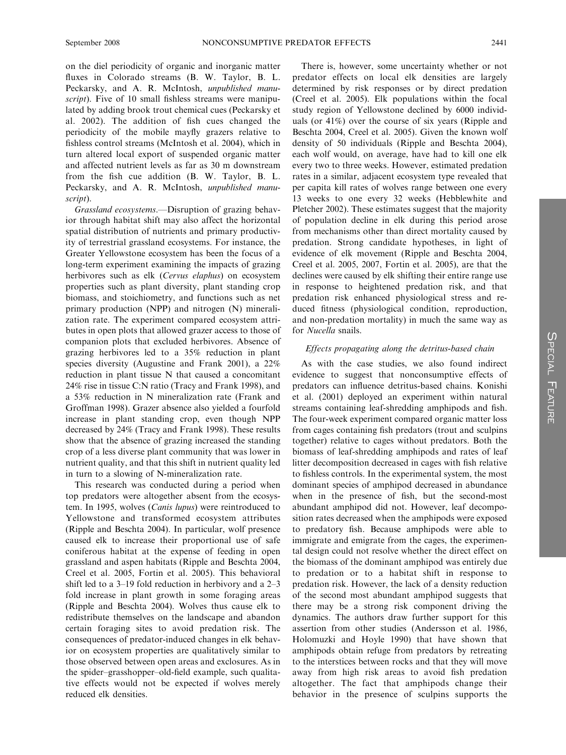on the diel periodicity of organic and inorganic matter fluxes in Colorado streams (B. W. Taylor, B. L. Peckarsky, and A. R. McIntosh, unpublished manuscript). Five of 10 small fishless streams were manipulated by adding brook trout chemical cues (Peckarsky et al. 2002). The addition of fish cues changed the periodicity of the mobile mayfly grazers relative to fishless control streams (McIntosh et al. 2004), which in turn altered local export of suspended organic matter and affected nutrient levels as far as 30 m downstream from the fish cue addition (B. W. Taylor, B. L. Peckarsky, and A. R. McIntosh, unpublished manuscript).

Grassland ecosystems.—Disruption of grazing behavior through habitat shift may also affect the horizontal spatial distribution of nutrients and primary productivity of terrestrial grassland ecosystems. For instance, the Greater Yellowstone ecosystem has been the focus of a long-term experiment examining the impacts of grazing herbivores such as elk (Cervus elaphus) on ecosystem properties such as plant diversity, plant standing crop biomass, and stoichiometry, and functions such as net primary production (NPP) and nitrogen (N) mineralization rate. The experiment compared ecosystem attributes in open plots that allowed grazer access to those of companion plots that excluded herbivores. Absence of grazing herbivores led to a 35% reduction in plant species diversity (Augustine and Frank 2001), a 22% reduction in plant tissue N that caused a concomitant 24% rise in tissue C:N ratio (Tracy and Frank 1998), and a 53% reduction in N mineralization rate (Frank and Groffman 1998). Grazer absence also yielded a fourfold increase in plant standing crop, even though NPP decreased by 24% (Tracy and Frank 1998). These results show that the absence of grazing increased the standing crop of a less diverse plant community that was lower in nutrient quality, and that this shift in nutrient quality led in turn to a slowing of N-mineralization rate.

This research was conducted during a period when top predators were altogether absent from the ecosystem. In 1995, wolves (Canis lupus) were reintroduced to Yellowstone and transformed ecosystem attributes (Ripple and Beschta 2004). In particular, wolf presence caused elk to increase their proportional use of safe coniferous habitat at the expense of feeding in open grassland and aspen habitats (Ripple and Beschta 2004, Creel et al. 2005, Fortin et al. 2005). This behavioral shift led to a 3–19 fold reduction in herbivory and a 2–3 fold increase in plant growth in some foraging areas (Ripple and Beschta 2004). Wolves thus cause elk to redistribute themselves on the landscape and abandon certain foraging sites to avoid predation risk. The consequences of predator-induced changes in elk behavior on ecosystem properties are qualitatively similar to those observed between open areas and exclosures. As in the spider–grasshopper–old-field example, such qualitative effects would not be expected if wolves merely reduced elk densities.

There is, however, some uncertainty whether or not predator effects on local elk densities are largely determined by risk responses or by direct predation (Creel et al. 2005). Elk populations within the focal study region of Yellowstone declined by 6000 individuals (or 41%) over the course of six years (Ripple and Beschta 2004, Creel et al. 2005). Given the known wolf density of 50 individuals (Ripple and Beschta 2004), each wolf would, on average, have had to kill one elk every two to three weeks. However, estimated predation rates in a similar, adjacent ecosystem type revealed that per capita kill rates of wolves range between one every 13 weeks to one every 32 weeks (Hebblewhite and Pletcher 2002). These estimates suggest that the majority of population decline in elk during this period arose from mechanisms other than direct mortality caused by predation. Strong candidate hypotheses, in light of evidence of elk movement (Ripple and Beschta 2004, Creel et al. 2005, 2007, Fortin et al. 2005), are that the declines were caused by elk shifting their entire range use in response to heightened predation risk, and that predation risk enhanced physiological stress and reduced fitness (physiological condition, reproduction, and non-predation mortality) in much the same way as for Nucella snails.

### Effects propagating along the detritus-based chain

As with the case studies, we also found indirect evidence to suggest that nonconsumptive effects of predators can influence detritus-based chains. Konishi et al. (2001) deployed an experiment within natural streams containing leaf-shredding amphipods and fish. The four-week experiment compared organic matter loss from cages containing fish predators (trout and sculpins together) relative to cages without predators. Both the biomass of leaf-shredding amphipods and rates of leaf litter decomposition decreased in cages with fish relative to fishless controls. In the experimental system, the most dominant species of amphipod decreased in abundance when in the presence of fish, but the second-most abundant amphipod did not. However, leaf decomposition rates decreased when the amphipods were exposed to predatory fish. Because amphipods were able to immigrate and emigrate from the cages, the experimental design could not resolve whether the direct effect on the biomass of the dominant amphipod was entirely due to predation or to a habitat shift in response to predation risk. However, the lack of a density reduction of the second most abundant amphipod suggests that there may be a strong risk component driving the dynamics. The authors draw further support for this assertion from other studies (Andersson et al. 1986, Holomuzki and Hoyle 1990) that have shown that amphipods obtain refuge from predators by retreating to the interstices between rocks and that they will move away from high risk areas to avoid fish predation altogether. The fact that amphipods change their behavior in the presence of sculpins supports the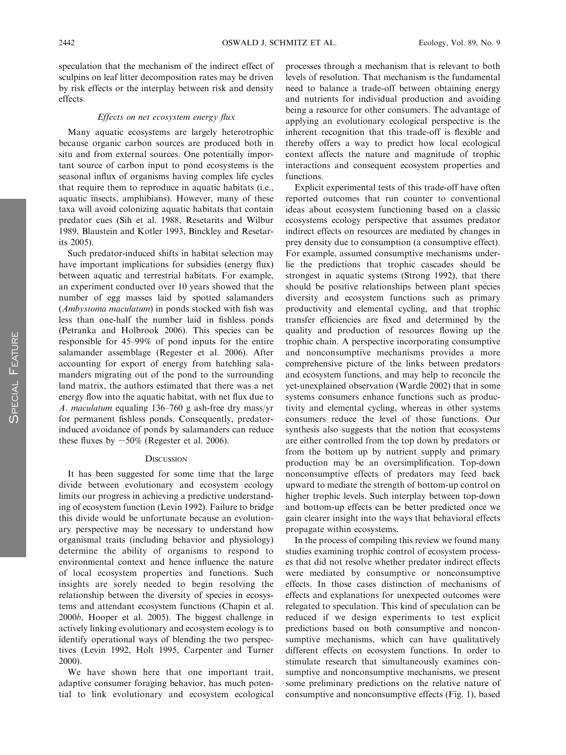speculation that the mechanism of the indirect effect of sculpins on leaf litter decomposition rates may be driven by risk effects or the interplay between risk and density effects.

### Effects on net ecosystem energy flux

Many aquatic ecosystems are largely heterotrophic because organic carbon sources are produced both in situ and from external sources. One potentially important source of carbon input to pond ecosystems is the seasonal influx of organisms having complex life cycles that require them to reproduce in aquatic habitats (i.e., aquatic insects, amphibians). However, many of these taxa will avoid colonizing aquatic habitats that contain predator cues (Sih et al. 1988, Resetarits and Wilbur 1989, Blaustein and Kotler 1993, Binckley and Resetarits 2005).

Such predator-induced shifts in habitat selection may have important implications for subsidies (energy flux) between aquatic and terrestrial habitats. For example, an experiment conducted over 10 years showed that the number of egg masses laid by spotted salamanders (Ambystoma maculatum) in ponds stocked with fish was less than one-half the number laid in fishless ponds (Petranka and Holbrook 2006). This species can be responsible for 45–99% of pond inputs for the entire salamander assemblage (Regester et al. 2006). After accounting for export of energy from hatchling salamanders migrating out of the pond to the surrounding land matrix, the authors estimated that there was a net energy flow into the aquatic habitat, with net flux due to A. maculatum equaling 136–760 g ash-free dry mass/yr for permanent fishless ponds. Consequently, predatorinduced avoidance of ponds by salamanders can reduce these fluxes by  $\sim$  50% (Regester et al. 2006).

### **DISCUSSION**

It has been suggested for some time that the large divide between evolutionary and ecosystem ecology limits our progress in achieving a predictive understanding of ecosystem function (Levin 1992). Failure to bridge this divide would be unfortunate because an evolutionary perspective may be necessary to understand how organismal traits (including behavior and physiology) determine the ability of organisms to respond to environmental context and hence influence the nature of local ecosystem properties and functions. Such insights are sorely needed to begin resolving the relationship between the diversity of species in ecosystems and attendant ecosystem functions (Chapin et al. 2000b, Hooper et al. 2005). The biggest challenge in actively linking evolutionary and ecosystem ecology is to identify operational ways of blending the two perspectives (Levin 1992, Holt 1995, Carpenter and Turner 2000).

We have shown here that one important trait, adaptive consumer foraging behavior, has much potential to link evolutionary and ecosystem ecological processes through a mechanism that is relevant to both levels of resolution. That mechanism is the fundamental need to balance a trade-off between obtaining energy and nutrients for individual production and avoiding being a resource for other consumers. The advantage of applying an evolutionary ecological perspective is the inherent recognition that this trade-off is flexible and thereby offers a way to predict how local ecological context affects the nature and magnitude of trophic interactions and consequent ecosystem properties and functions.

Explicit experimental tests of this trade-off have often reported outcomes that run counter to conventional ideas about ecosystem functioning based on a classic ecosystems ecology perspective that assumes predator indirect effects on resources are mediated by changes in prey density due to consumption (a consumptive effect). For example, assumed consumptive mechanisms underlie the predictions that trophic cascades should be strongest in aquatic systems (Strong 1992), that there should be positive relationships between plant species diversity and ecosystem functions such as primary productivity and elemental cycling, and that trophic transfer efficiencies are fixed and determined by the quality and production of resources flowing up the trophic chain. A perspective incorporating consumptive and nonconsumptive mechanisms provides a more comprehensive picture of the links between predators and ecosystem functions, and may help to reconcile the yet-unexplained observation (Wardle 2002) that in some systems consumers enhance functions such as productivity and elemental cycling, whereas in other systems consumers reduce the level of those functions. Our synthesis also suggests that the notion that ecosystems are either controlled from the top down by predators or from the bottom up by nutrient supply and primary production may be an oversimplification. Top-down nonconsumptive effects of predators may feed back upward to mediate the strength of bottom-up control on higher trophic levels. Such interplay between top-down and bottom-up effects can be better predicted once we gain clearer insight into the ways that behavioral effects propagate within ecosystems.

In the process of compiling this review we found many studies examining trophic control of ecosystem processes that did not resolve whether predator indirect effects were mediated by consumptive or nonconsumptive effects. In those cases distinction of mechanisms of effects and explanations for unexpected outcomes were relegated to speculation. This kind of speculation can be reduced if we design experiments to test explicit predictions based on both consumptive and nonconsumptive mechanisms, which can have qualitatively different effects on ecosystem functions. In order to stimulate research that simultaneously examines consumptive and nonconsumptive mechanisms, we present some preliminary predictions on the relative nature of consumptive and nonconsumptive effects (Fig. 1), based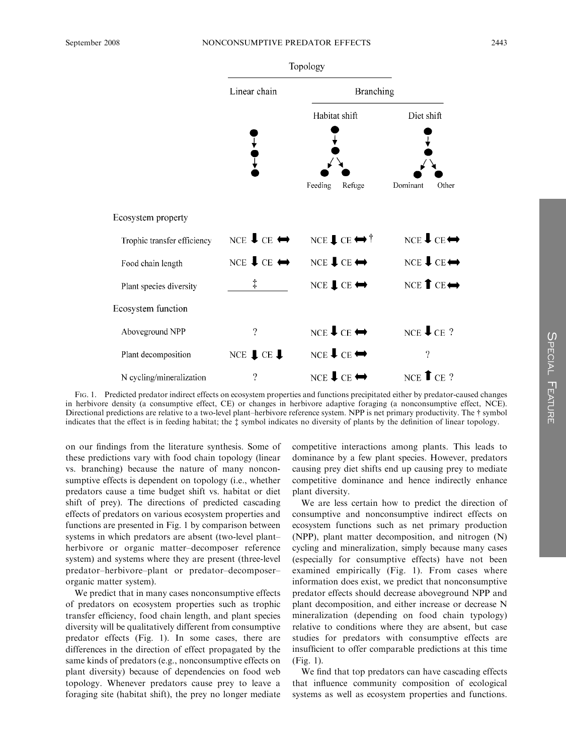

FIG. 1. Predicted predator indirect effects on ecosystem properties and functions precipitated either by predator-caused changes in herbivore density (a consumptive effect, CE) or changes in herbivore adaptive foraging (a nonconsumptive effect, NCE). Directional predictions are relative to a two-level plant–herbivore reference system. NPP is net primary productivity. The † symbol indicates that the effect is in feeding habitat; the  $\ddagger$  symbol indicates no diversity of plants by the definition of linear topology.

on our findings from the literature synthesis. Some of these predictions vary with food chain topology (linear vs. branching) because the nature of many nonconsumptive effects is dependent on topology (i.e., whether predators cause a time budget shift vs. habitat or diet shift of prey). The directions of predicted cascading effects of predators on various ecosystem properties and functions are presented in Fig. 1 by comparison between systems in which predators are absent (two-level plant– herbivore or organic matter–decomposer reference system) and systems where they are present (three-level predator–herbivore–plant or predator–decomposer– organic matter system).

We predict that in many cases nonconsumptive effects of predators on ecosystem properties such as trophic transfer efficiency, food chain length, and plant species diversity will be qualitatively different from consumptive predator effects (Fig. 1). In some cases, there are differences in the direction of effect propagated by the same kinds of predators (e.g., nonconsumptive effects on plant diversity) because of dependencies on food web topology. Whenever predators cause prey to leave a foraging site (habitat shift), the prey no longer mediate competitive interactions among plants. This leads to dominance by a few plant species. However, predators causing prey diet shifts end up causing prey to mediate competitive dominance and hence indirectly enhance plant diversity.

We are less certain how to predict the direction of consumptive and nonconsumptive indirect effects on ecosystem functions such as net primary production (NPP), plant matter decomposition, and nitrogen (N) cycling and mineralization, simply because many cases (especially for consumptive effects) have not been examined empirically (Fig. 1). From cases where information does exist, we predict that nonconsumptive predator effects should decrease aboveground NPP and plant decomposition, and either increase or decrease N mineralization (depending on food chain typology) relative to conditions where they are absent, but case studies for predators with consumptive effects are insufficient to offer comparable predictions at this time (Fig. 1).

We find that top predators can have cascading effects that influence community composition of ecological systems as well as ecosystem properties and functions.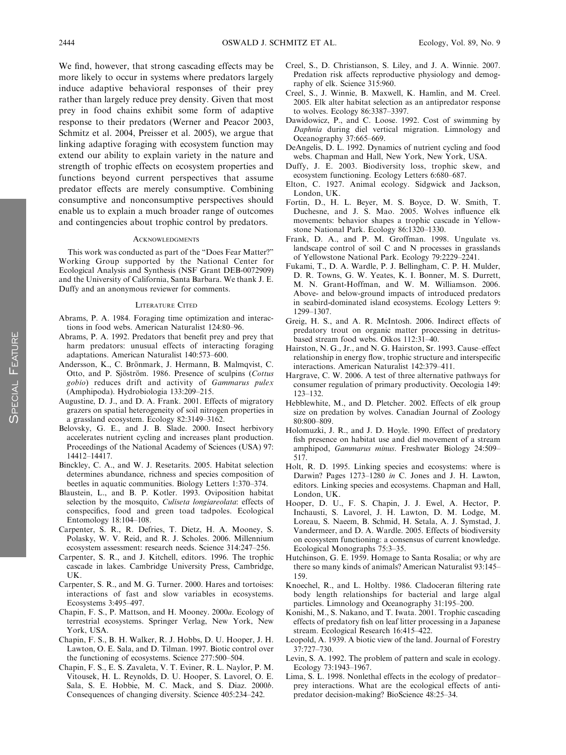We find, however, that strong cascading effects may be more likely to occur in systems where predators largely induce adaptive behavioral responses of their prey rather than largely reduce prey density. Given that most prey in food chains exhibit some form of adaptive response to their predators (Werner and Peacor 2003, Schmitz et al. 2004, Preisser et al. 2005), we argue that linking adaptive foraging with ecosystem function may extend our ability to explain variety in the nature and strength of trophic effects on ecosystem properties and functions beyond current perspectives that assume predator effects are merely consumptive. Combining consumptive and nonconsumptive perspectives should enable us to explain a much broader range of outcomes and contingencies about trophic control by predators.

### **ACKNOWLEDGMENTS**

This work was conducted as part of the ''Does Fear Matter?'' Working Group supported by the National Center for Ecological Analysis and Synthesis (NSF Grant DEB-0072909) and the University of California, Santa Barbara. We thank J. E. Duffy and an anonymous reviewer for comments.

#### LITERATURE CITED

- Abrams, P. A. 1984. Foraging time optimization and interactions in food webs. American Naturalist 124:80–96.
- Abrams, P. A. 1992. Predators that benefit prey and prey that harm predators: unusual effects of interacting foraging adaptations. American Naturalist 140:573–600.
- Andersson, K., C. Brönmark, J. Hermann, B. Malmqvist, C. Otto, and P. Sjöström. 1986. Presence of sculpins (Cottus gobio) reduces drift and activity of Gammarus pulex (Amphipoda). Hydrobiologia 133:209–215.
- Augustine, D. J., and D. A. Frank. 2001. Effects of migratory grazers on spatial heterogeneity of soil nitrogen properties in a grassland ecosystem. Ecology 82:3149–3162.
- Belovsky, G. E., and J. B. Slade. 2000. Insect herbivory accelerates nutrient cycling and increases plant production. Proceedings of the National Academy of Sciences (USA) 97: 14412–14417.
- Binckley, C. A., and W. J. Resetarits. 2005. Habitat selection determines abundance, richness and species composition of beetles in aquatic communities. Biology Letters 1:370–374.
- Blaustein, L., and B. P. Kotler. 1993. Oviposition habitat selection by the mosquito, Culiseta longiareolata: effects of conspecifics, food and green toad tadpoles. Ecological Entomology 18:104–108.
- Carpenter, S. R., R. Defries, T. Dietz, H. A. Mooney, S. Polasky, W. V. Reid, and R. J. Scholes. 2006. Millennium ecosystem assessment: research needs. Science 314:247–256.
- Carpenter, S. R., and J. Kitchell, editors. 1996. The trophic cascade in lakes. Cambridge University Press, Cambridge, UK.
- Carpenter, S. R., and M. G. Turner. 2000. Hares and tortoises: interactions of fast and slow variables in ecosystems. Ecosystems 3:495–497.
- Chapin, F. S., P. Mattson, and H. Mooney. 2000a. Ecology of terrestrial ecosystems. Springer Verlag, New York, New York, USA.
- Chapin, F. S., B. H. Walker, R. J. Hobbs, D. U. Hooper, J. H. Lawton, O. E. Sala, and D. Tilman. 1997. Biotic control over the functioning of ecosystems. Science 277:500–504.
- Chapin, F. S., E. S. Zavaleta, V. T. Eviner, R. L. Naylor, P. M. Vitousek, H. L. Reynolds, D. U. Hooper, S. Lavorel, O. E. Sala, S. E. Hobbie, M. C. Mack, and S. Diaz. 2000b. Consequences of changing diversity. Science 405:234–242.
- Creel, S., D. Christianson, S. Liley, and J. A. Winnie. 2007. Predation risk affects reproductive physiology and demography of elk. Science 315:960.
- Creel, S., J. Winnie, B. Maxwell, K. Hamlin, and M. Creel. 2005. Elk alter habitat selection as an antipredator response to wolves. Ecology 86:3387–3397.
- Dawidowicz, P., and C. Loose. 1992. Cost of swimming by Daphnia during diel vertical migration. Limnology and Oceanography 37:665–669.
- DeAngelis, D. L. 1992. Dynamics of nutrient cycling and food webs. Chapman and Hall, New York, New York, USA.
- Duffy, J. E. 2003. Biodiversity loss, trophic skew, and ecosystem functioning. Ecology Letters 6:680–687.
- Elton, C. 1927. Animal ecology. Sidgwick and Jackson, London, UK.
- Fortin, D., H. L. Beyer, M. S. Boyce, D. W. Smith, T. Duchesne, and J. S. Mao. 2005. Wolves influence elk movements: behavior shapes a trophic cascade in Yellowstone National Park. Ecology 86:1320–1330.
- Frank, D. A., and P. M. Groffman. 1998. Ungulate vs. landscape control of soil C and N processes in grasslands of Yellowstone National Park. Ecology 79:2229–2241.
- Fukami, T., D. A. Wardle, P. J. Bellingham, C. P. H. Mulder, D. R. Towns, G. W. Yeates, K. I. Bonner, M. S. Durrett, M. N. Grant-Hoffman, and W. M. Williamson. 2006. Above- and below-ground impacts of introduced predators in seabird-dominated island ecosystems. Ecology Letters 9: 1299–1307.
- Greig, H. S., and A. R. McIntosh. 2006. Indirect effects of predatory trout on organic matter processing in detritusbased stream food webs. Oikos 112:31–40.
- Hairston, N. G., Jr., and N. G. Hairston, Sr. 1993. Cause–effect relationship in energy flow, trophic structure and interspecific interactions. American Naturalist 142:379–411.
- Hargrave, C. W. 2006. A test of three alternative pathways for consumer regulation of primary productivity. Oecologia 149: 123–132.
- Hebblewhite, M., and D. Pletcher. 2002. Effects of elk group size on predation by wolves. Canadian Journal of Zoology 80:800–809.
- Holomuzki, J. R., and J. D. Hoyle. 1990. Effect of predatory fish presence on habitat use and diel movement of a stream amphipod, Gammarus minus. Freshwater Biology 24:509– 517.
- Holt, R. D. 1995. Linking species and ecosystems: where is Darwin? Pages 1273–1280 in C. Jones and J. H. Lawton, editors. Linking species and ecosystems. Chapman and Hall, London, UK.
- Hooper, D. U., F. S. Chapin, J. J. Ewel, A. Hector, P. Inchausti, S. Lavorel, J. H. Lawton, D. M. Lodge, M. Loreau, S. Naeem, B. Schmid, H. Setala, A. J. Symstad, J. Vandermeer, and D. A. Wardle. 2005. Effects of biodiversity on ecosystem functioning: a consensus of current knowledge. Ecological Monographs 75:3–35.
- Hutchinson, G. E. 1959. Homage to Santa Rosalia; or why are there so many kinds of animals? American Naturalist 93:145– 159.
- Knoechel, R., and L. Holtby. 1986. Cladoceran filtering rate body length relationships for bacterial and large algal particles. Limnology and Oceanography 31:195–200.
- Konishi, M., S. Nakano, and T. Iwata. 2001. Trophic cascading effects of predatory fish on leaf litter processing in a Japanese stream. Ecological Research 16:415–422.
- Leopold, A. 1939. A biotic view of the land. Journal of Forestry 37:727–730.
- Levin, S. A. 1992. The problem of pattern and scale in ecology. Ecology 73:1943–1967.
- Lima, S. L. 1998. Nonlethal effects in the ecology of predator– prey interactions. What are the ecological effects of antipredator decision-making? BioScience 48:25–34.